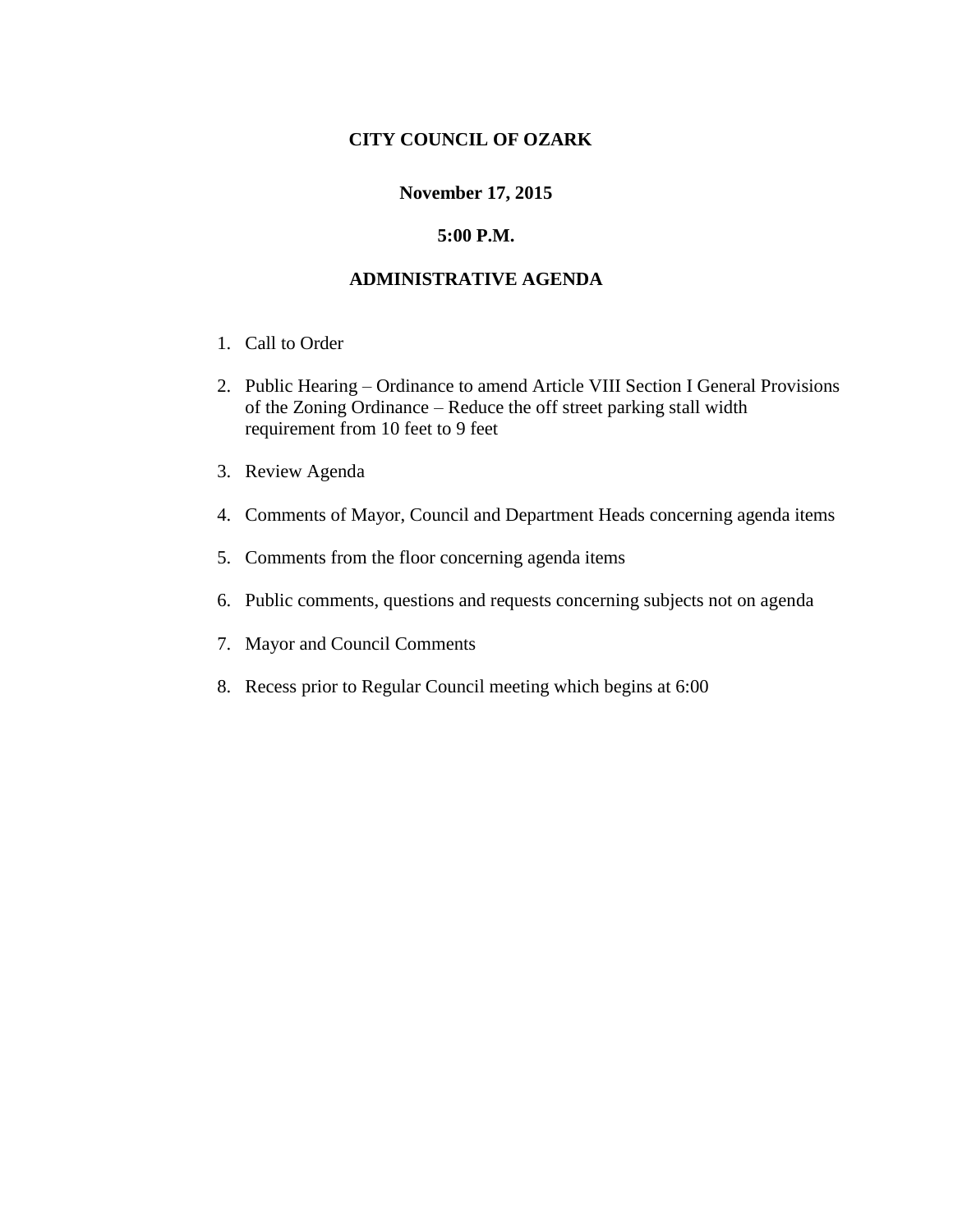## **CITY COUNCIL OF OZARK**

#### **November 17, 2015**

#### **5:00 P.M.**

### **ADMINISTRATIVE AGENDA**

- 1. Call to Order
- 2. Public Hearing Ordinance to amend Article VIII Section I General Provisions of the Zoning Ordinance – Reduce the off street parking stall width requirement from 10 feet to 9 feet
- 3. Review Agenda
- 4. Comments of Mayor, Council and Department Heads concerning agenda items
- 5. Comments from the floor concerning agenda items
- 6. Public comments, questions and requests concerning subjects not on agenda
- 7. Mayor and Council Comments
- 8. Recess prior to Regular Council meeting which begins at 6:00